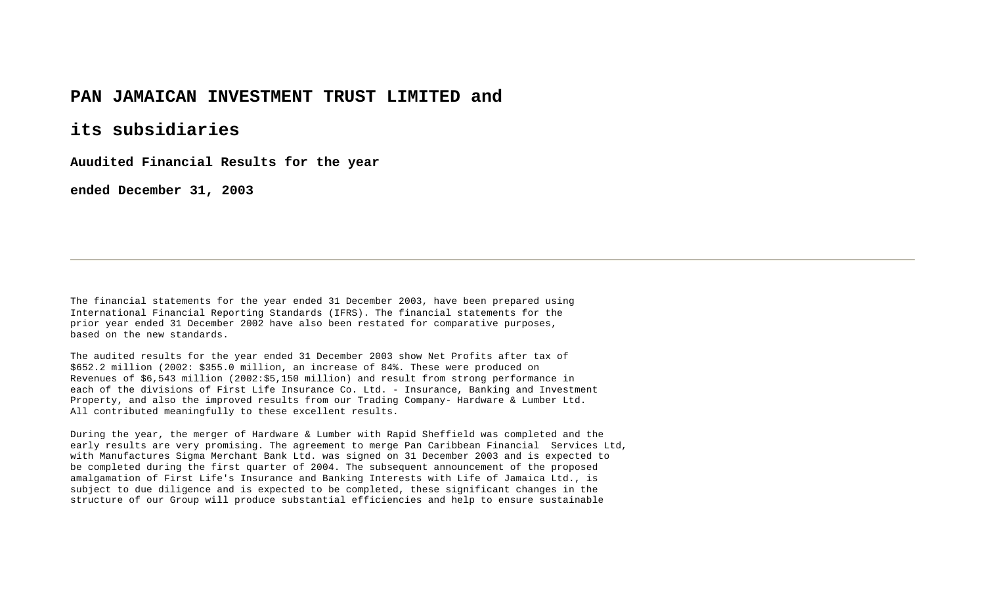### **PAN JAMAICAN INVESTMENT TRUST LIMITED and**

**its subsidiaries**

**Auudited Financial Results for the year** 

**ended December 31, 2003**

The financial statements for the year ended 31 December 2003, have been prepared using International Financial Reporting Standards (IFRS). The financial statements for the prior year ended 31 December 2002 have also been restated for comparative purposes, based on the new standards.

The audited results for the year ended 31 December 2003 show Net Profits after tax of \$652.2 million (2002: \$355.0 million, an increase of 84%. These were produced on Revenues of \$6,543 million (2002:\$5,150 million) and result from strong performance in each of the divisions of First Life Insurance Co. Ltd. - Insurance, Banking and Investment Property, and also the improved results from our Trading Company- Hardware & Lumber Ltd. All contributed meaningfully to these excellent results.

During the year, the merger of Hardware & Lumber with Rapid Sheffield was completed and the early results are very promising. The agreement to merge Pan Caribbean Financial Services Ltd, with Manufactures Sigma Merchant Bank Ltd. was signed on 31 December 2003 and is expected to be completed during the first quarter of 2004. The subsequent announcement of the proposed amalgamation of First Life's Insurance and Banking Interests with Life of Jamaica Ltd., is subject to due diligence and is expected to be completed, these significant changes in the structure of our Group will produce substantial efficiencies and help to ensure sustainable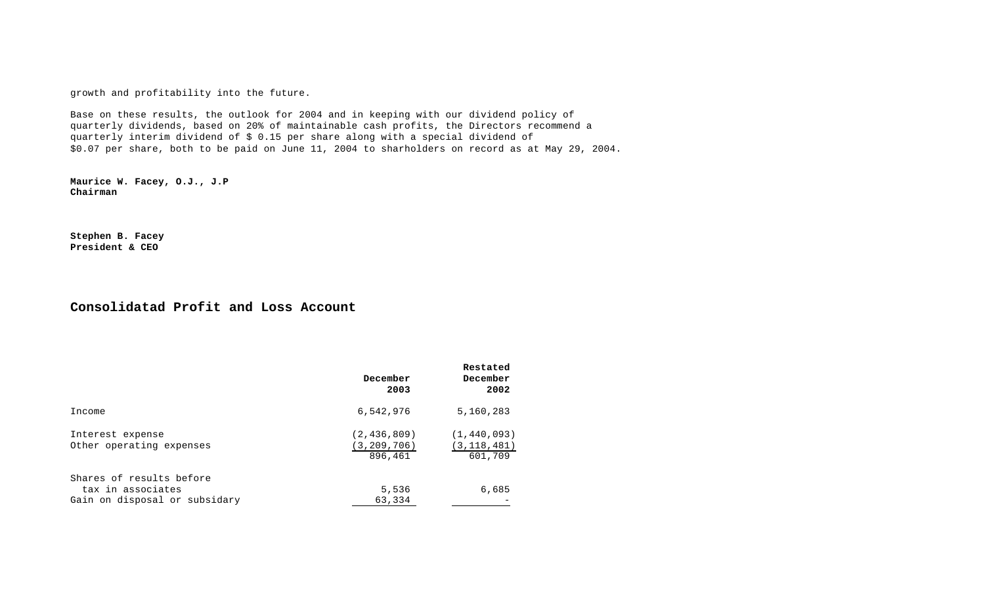growth and profitability into the future.

Base on these results, the outlook for 2004 and in keeping with our dividend policy of quarterly dividends, based on 20% of maintainable cash profits, the Directors recommend a quarterly interim dividend of \$ 0.15 per share along with a special dividend of \$0.07 per share, both to be paid on June 11, 2004 to sharholders on record as at May 29, 2004.

**Maurice W. Facey, O.J., J.P Chairman**

**Stephen B. Facey President & CEO**

#### **Consolidatad Profit and Loss Account**

|                                                                                | December<br>2003                          | Restated<br>December<br>2002              |
|--------------------------------------------------------------------------------|-------------------------------------------|-------------------------------------------|
| Income                                                                         | 6,542,976                                 | 5,160,283                                 |
| Interest expense<br>Other operating expenses                                   | (2, 436, 809)<br>(3, 209, 706)<br>896,461 | (1, 440, 093)<br>(3, 118, 481)<br>601,709 |
| Shares of results before<br>tax in associates<br>Gain on disposal or subsidary | 5,536<br>63,334                           | 6,685                                     |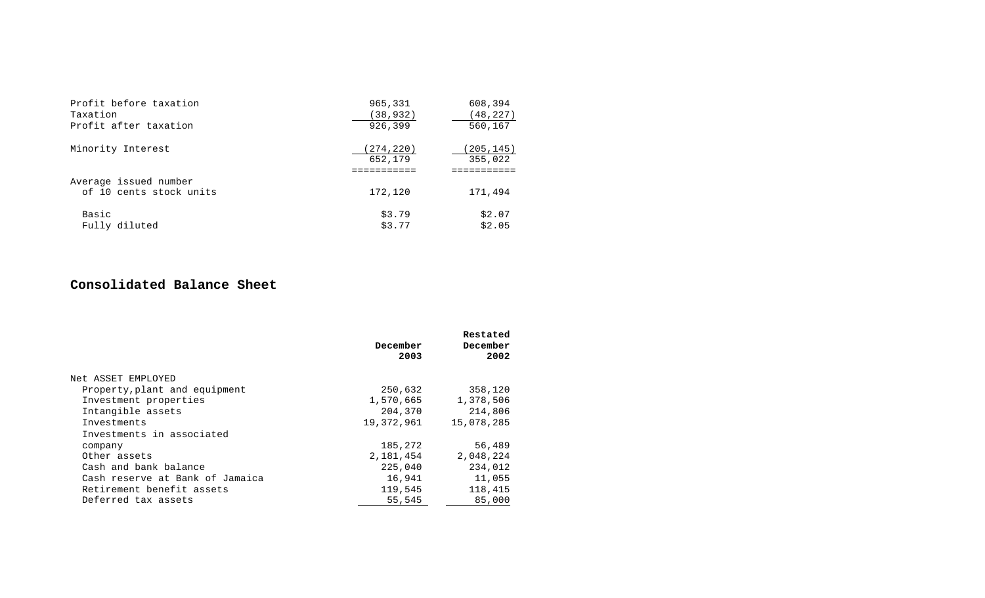| Profit before taxation                           | 965,331              | 608,394              |
|--------------------------------------------------|----------------------|----------------------|
| Taxation                                         | (38, 932)            | (48, 227)            |
| Profit after taxation                            | 926,399              | 560,167              |
| Minority Interest                                | (274,220)<br>652,179 | (205,145)<br>355,022 |
| Average issued number<br>of 10 cents stock units | 172,120              | 171,494              |
| Basic                                            | \$3.79               | \$2.07               |
| Fully diluted                                    | \$3.77               | \$2.05               |

## **Consolidated Balance Sheet**

|                                 | December<br>2003 | Restated<br>December<br>2002 |
|---------------------------------|------------------|------------------------------|
| Net ASSET EMPLOYED              |                  |                              |
| Property, plant and equipment   | 250,632          | 358,120                      |
| Investment properties           | 1,570,665        | 1,378,506                    |
| Intangible assets               | 204,370          | 214,806                      |
| Investments                     | 19,372,961       | 15,078,285                   |
| Investments in associated       |                  |                              |
| company                         | 185,272          | 56,489                       |
| Other assets                    | 2,181,454        | 2,048,224                    |
| Cash and bank balance           | 225,040          | 234,012                      |
| Cash reserve at Bank of Jamaica | 16,941           | 11,055                       |
| Retirement benefit assets       | 119,545          | 118,415                      |
| Deferred tax assets             | 55,545           | 85,000                       |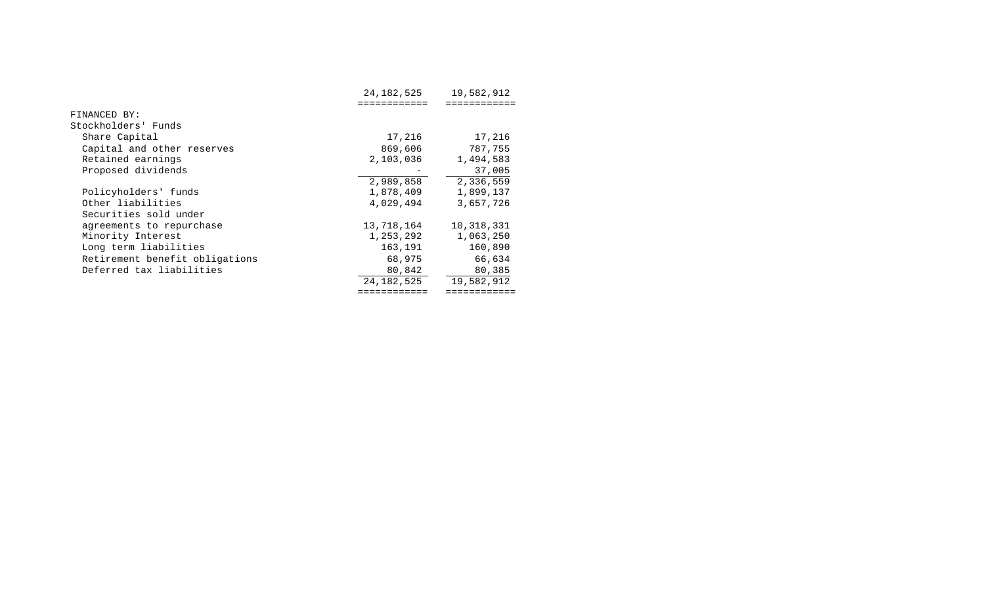|                                | 24, 182, 525 | 19,582,912 |
|--------------------------------|--------------|------------|
|                                |              |            |
| FINANCED BY:                   |              |            |
| Stockholders' Funds            |              |            |
| Share Capital                  | 17,216       | 17,216     |
| Capital and other reserves     | 869,606      | 787,755    |
| Retained earnings              | 2,103,036    | 1,494,583  |
| Proposed dividends             |              | 37,005     |
|                                | 2,989,858    | 2,336,559  |
| Policyholders' funds           | 1,878,409    | 1,899,137  |
| Other liabilities              | 4,029,494    | 3,657,726  |
| Securities sold under          |              |            |
| agreements to repurchase       | 13,718,164   | 10,318,331 |
| Minority Interest              | 1,253,292    | 1,063,250  |
| Long term liabilities          | 163,191      | 160,890    |
| Retirement benefit obligations | 68,975       | 66,634     |
| Deferred tax liabilities       | 80,842       | 80,385     |
|                                | 24,182,525   | 19,582,912 |
|                                |              |            |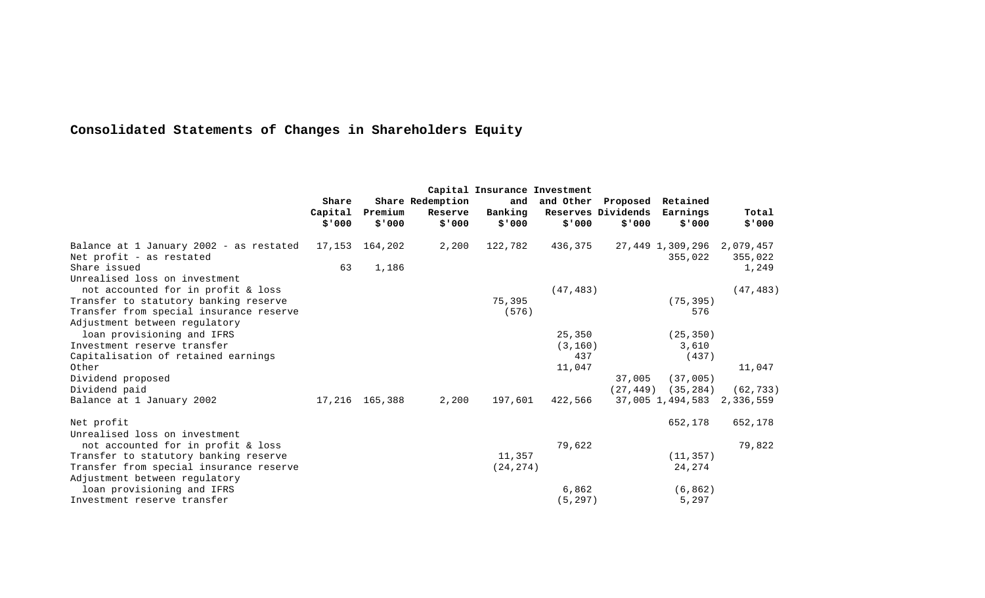# **Consolidated Statements of Changes in Shareholders Equity**

|                                                                     |         |                |                  | Capital Insurance Investment |                             |                    |                             |                      |
|---------------------------------------------------------------------|---------|----------------|------------------|------------------------------|-----------------------------|--------------------|-----------------------------|----------------------|
|                                                                     | Share   |                | Share Redemption | and                          | and Other Proposed Retained |                    |                             |                      |
|                                                                     | Capital | Premium        | Reserve          | Banking                      |                             | Reserves Dividends | Earnings                    | Total                |
|                                                                     | \$'000  | \$'000         | \$'000           | \$'000                       | \$'000                      | \$'000             | \$'000                      | \$'000               |
| Balance at 1 January 2002 - as restated<br>Net profit - as restated |         | 17,153 164,202 | 2,200            | 122,782                      | 436,375                     |                    | 27,449 1,309,296<br>355,022 | 2,079,457<br>355,022 |
| Share issued                                                        | 63      | 1,186          |                  |                              |                             |                    |                             | 1,249                |
| Unrealised loss on investment                                       |         |                |                  |                              |                             |                    |                             |                      |
| not accounted for in profit & loss                                  |         |                |                  |                              | (47, 483)                   |                    |                             | (47, 483)            |
| Transfer to statutory banking reserve                               |         |                |                  | 75,395                       |                             |                    | (75, 395)                   |                      |
| Transfer from special insurance reserve                             |         |                |                  | (576)                        |                             |                    | 576                         |                      |
| Adjustment between regulatory                                       |         |                |                  |                              |                             |                    |                             |                      |
| loan provisioning and IFRS                                          |         |                |                  |                              | 25,350                      |                    | (25, 350)                   |                      |
| Investment reserve transfer                                         |         |                |                  |                              | (3, 160)                    |                    | 3,610                       |                      |
| Capitalisation of retained earnings                                 |         |                |                  |                              | 437                         |                    | (437)                       |                      |
| Other                                                               |         |                |                  |                              | 11,047                      |                    |                             | 11,047               |
| Dividend proposed                                                   |         |                |                  |                              |                             | 37,005             | (37,005)                    |                      |
| Dividend paid                                                       |         |                |                  |                              |                             |                    | $(27, 449)$ $(35, 284)$     | (62, 733)            |
| Balance at 1 January 2002                                           |         | 17,216 165,388 | 2,200            | 197,601                      | 422,566                     |                    | 37,005 1,494,583            | 2,336,559            |
| Net profit                                                          |         |                |                  |                              |                             |                    | 652,178                     | 652,178              |
| Unrealised loss on investment<br>not accounted for in profit & loss |         |                |                  |                              | 79,622                      |                    |                             | 79,822               |
| Transfer to statutory banking reserve                               |         |                |                  | 11,357                       |                             |                    | (11, 357)                   |                      |
| Transfer from special insurance reserve                             |         |                |                  | (24, 274)                    |                             |                    | 24,274                      |                      |
| Adjustment between regulatory                                       |         |                |                  |                              |                             |                    |                             |                      |
| loan provisioning and IFRS                                          |         |                |                  |                              | 6,862                       |                    | (6, 862)                    |                      |
| Investment reserve transfer                                         |         |                |                  |                              | (5, 297)                    |                    | 5,297                       |                      |
|                                                                     |         |                |                  |                              |                             |                    |                             |                      |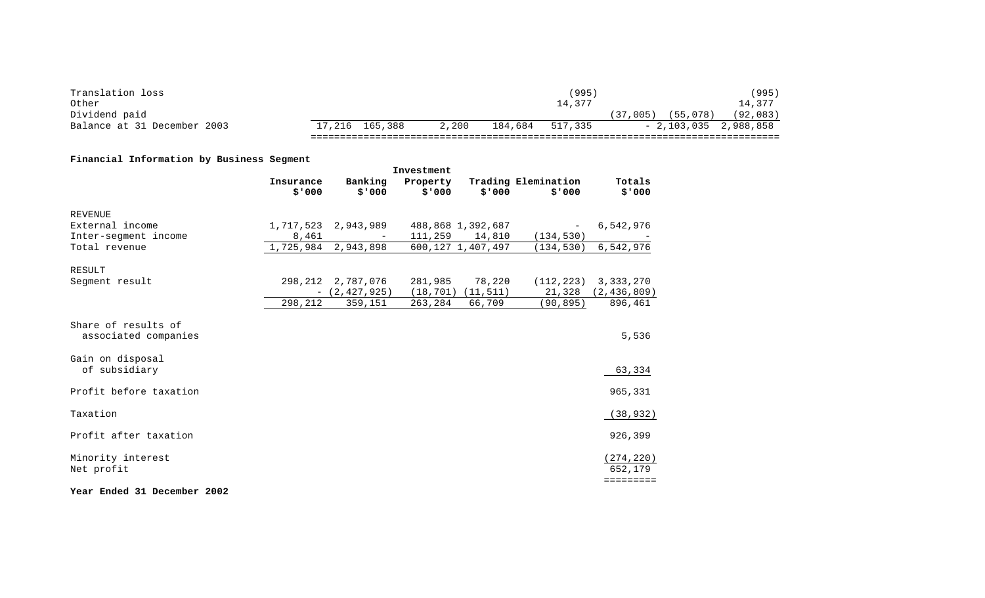| Translation loss            |                |       |         | (995)   |                          | (995)     |
|-----------------------------|----------------|-------|---------|---------|--------------------------|-----------|
| Other                       |                |       |         | 14,377  |                          | 14,377    |
| Dividend paid               |                |       |         |         | (55,078)<br>(37,005)     | (92, 083) |
| Balance at 31 December 2003 | 17,216 165,388 | 2,200 | 184,684 | 517,335 | $-2,103,035$ $2,988,858$ |           |
|                             |                |       |         |         |                          |           |

#### **Financial Information by Business Segment**

|                                             | Investment |                      |                   |                   |                          |                          |
|---------------------------------------------|------------|----------------------|-------------------|-------------------|--------------------------|--------------------------|
|                                             | Insurance  | Banking              | Property          |                   | Trading Elemination      | Totals                   |
|                                             | \$'000     | \$'000               | \$'000            | \$'000            | \$'000                   | \$'000                   |
| <b>REVENUE</b>                              |            |                      |                   |                   |                          |                          |
| External income                             |            | 1,717,523 2,943,989  | 488,868 1,392,687 |                   | $\overline{\phantom{a}}$ | 6,542,976                |
| Inter-segment income                        | 8,461      |                      | 111,259 14,810    |                   | (134, 530)               |                          |
| Total revenue                               | 1,725,984  | 2,943,898            |                   | 600,127 1,407,497 | (134, 530)               | 6,542,976                |
| <b>RESULT</b>                               |            |                      |                   |                   |                          |                          |
| Seqment result                              |            | 298, 212 2, 787, 076 | 281,985           | 78,220            |                          | $(112, 223)$ 3, 333, 270 |
|                                             |            | $-$ (2,427,925)      | (18, 701)         | (11, 511)         | 21,328                   | (2, 436, 809)            |
|                                             | 298,212    | 359,151              | 263,284           | 66,709            | (90, 895)                | 896,461                  |
| Share of results of<br>associated companies |            |                      |                   |                   |                          | 5,536                    |
| Gain on disposal<br>of subsidiary           |            |                      |                   |                   |                          | 63,334                   |
| Profit before taxation                      |            |                      |                   |                   |                          | 965,331                  |
| Taxation                                    |            |                      |                   |                   |                          | (38, 932)                |
| Profit after taxation                       |            |                      |                   |                   |                          | 926,399                  |
| Minority interest<br>Net profit             |            |                      |                   |                   |                          | (274, 220)<br>652,179    |
|                                             |            |                      |                   |                   |                          | =========                |
|                                             |            |                      |                   |                   |                          |                          |

**Year Ended 31 December 2002**